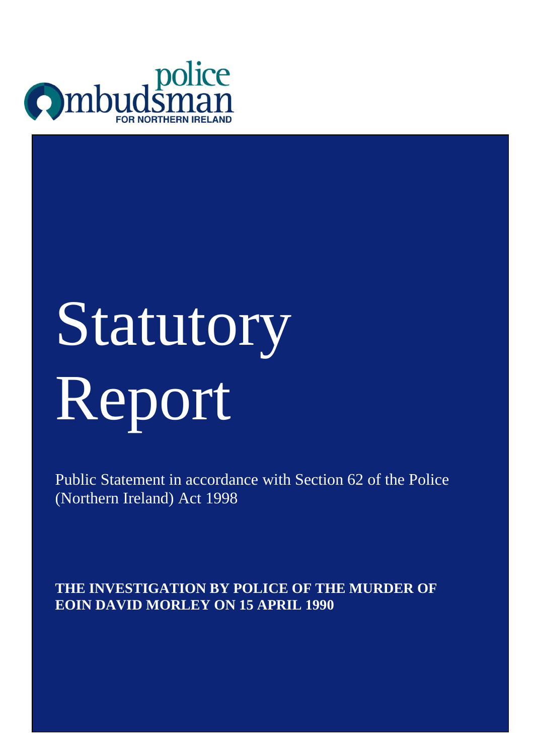

# Statutory Report

Public Statement in accordance with Section 62 of the Police (Northern Ireland) Act 1998

St. Anne Th **THE INVESTIGATION BY POLICE OF THE MURDER OF** Belfast **EOIN DAVID MORLEY ON 15 APRIL 1990**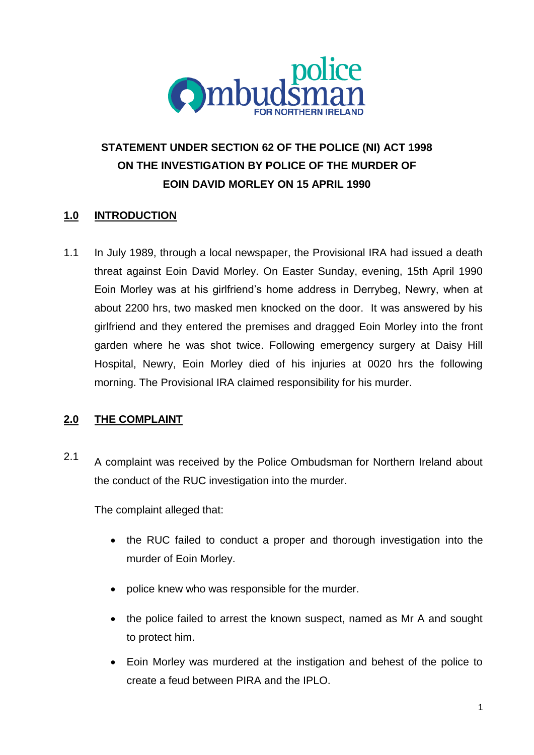

# **STATEMENT UNDER SECTION 62 OF THE POLICE (NI) ACT 1998 ON THE INVESTIGATION BY POLICE OF THE MURDER OF EOIN DAVID MORLEY ON 15 APRIL 1990**

## **1.0 INTRODUCTION**

1.1 In July 1989, through a local newspaper, the Provisional IRA had issued a death threat against Eoin David Morley. On Easter Sunday, evening, 15th April 1990 Eoin Morley was at his girlfriend's home address in Derrybeg, Newry, when at about 2200 hrs, two masked men knocked on the door. It was answered by his girlfriend and they entered the premises and dragged Eoin Morley into the front garden where he was shot twice. Following emergency surgery at Daisy Hill Hospital, Newry, Eoin Morley died of his injuries at 0020 hrs the following morning. The Provisional IRA claimed responsibility for his murder.

## **2.0 THE COMPLAINT**

2.1 A complaint was received by the Police Ombudsman for Northern Ireland about the conduct of the RUC investigation into the murder.

The complaint alleged that:

- the RUC failed to conduct a proper and thorough investigation into the murder of Eoin Morley.
- police knew who was responsible for the murder.
- the police failed to arrest the known suspect, named as Mr A and sought to protect him.
- Eoin Morley was murdered at the instigation and behest of the police to create a feud between PIRA and the IPLO.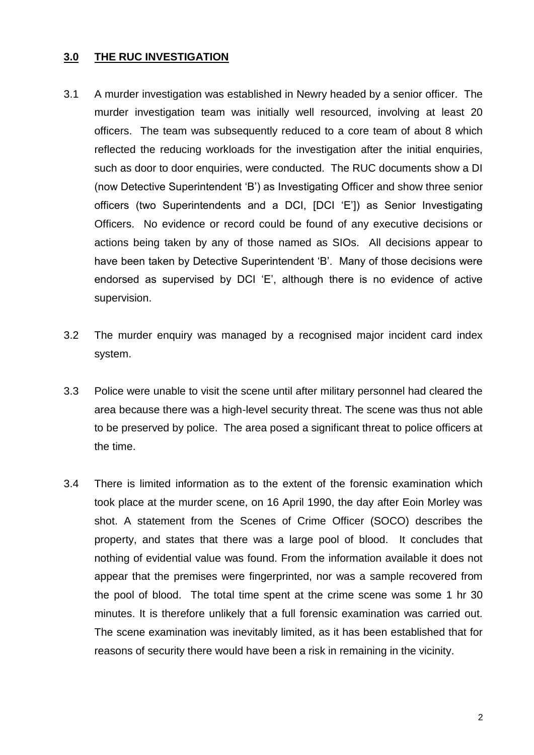#### **3.0 THE RUC INVESTIGATION**

- 3.1 A murder investigation was established in Newry headed by a senior officer. The murder investigation team was initially well resourced, involving at least 20 officers. The team was subsequently reduced to a core team of about 8 which reflected the reducing workloads for the investigation after the initial enquiries, such as door to door enquiries, were conducted. The RUC documents show a DI (now Detective Superintendent 'B') as Investigating Officer and show three senior officers (two Superintendents and a DCI, [DCI 'E']) as Senior Investigating Officers. No evidence or record could be found of any executive decisions or actions being taken by any of those named as SIOs. All decisions appear to have been taken by Detective Superintendent 'B'. Many of those decisions were endorsed as supervised by DCI 'E', although there is no evidence of active supervision.
- 3.2 The murder enquiry was managed by a recognised major incident card index system.
- 3.3 Police were unable to visit the scene until after military personnel had cleared the area because there was a high-level security threat. The scene was thus not able to be preserved by police. The area posed a significant threat to police officers at the time.
- 3.4 There is limited information as to the extent of the forensic examination which took place at the murder scene, on 16 April 1990, the day after Eoin Morley was shot. A statement from the Scenes of Crime Officer (SOCO) describes the property, and states that there was a large pool of blood. It concludes that nothing of evidential value was found. From the information available it does not appear that the premises were fingerprinted, nor was a sample recovered from the pool of blood. The total time spent at the crime scene was some 1 hr 30 minutes. It is therefore unlikely that a full forensic examination was carried out. The scene examination was inevitably limited, as it has been established that for reasons of security there would have been a risk in remaining in the vicinity.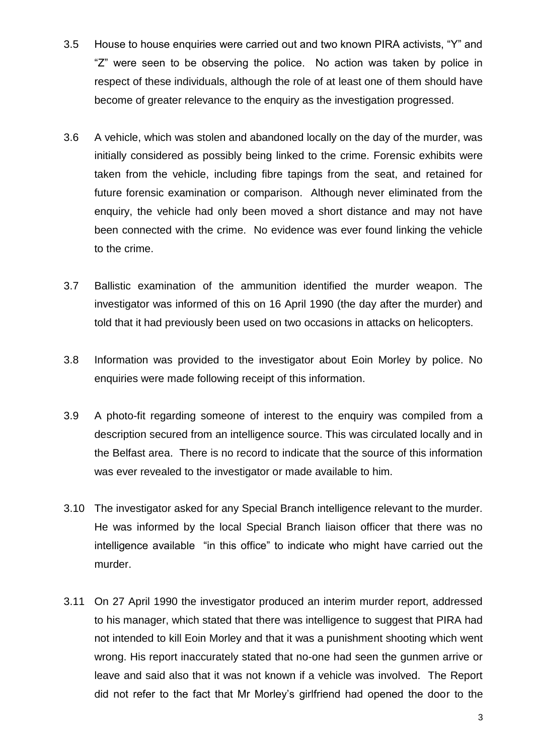- 3.5 House to house enquiries were carried out and two known PIRA activists, "Y" and "Z" were seen to be observing the police. No action was taken by police in respect of these individuals, although the role of at least one of them should have become of greater relevance to the enquiry as the investigation progressed.
- 3.6 A vehicle, which was stolen and abandoned locally on the day of the murder, was initially considered as possibly being linked to the crime. Forensic exhibits were taken from the vehicle, including fibre tapings from the seat, and retained for future forensic examination or comparison. Although never eliminated from the enquiry, the vehicle had only been moved a short distance and may not have been connected with the crime. No evidence was ever found linking the vehicle to the crime.
- 3.7 Ballistic examination of the ammunition identified the murder weapon. The investigator was informed of this on 16 April 1990 (the day after the murder) and told that it had previously been used on two occasions in attacks on helicopters.
- 3.8 Information was provided to the investigator about Eoin Morley by police. No enquiries were made following receipt of this information.
- 3.9 A photo-fit regarding someone of interest to the enquiry was compiled from a description secured from an intelligence source. This was circulated locally and in the Belfast area. There is no record to indicate that the source of this information was ever revealed to the investigator or made available to him.
- 3.10 The investigator asked for any Special Branch intelligence relevant to the murder. He was informed by the local Special Branch liaison officer that there was no intelligence available "in this office" to indicate who might have carried out the murder.
- 3.11 On 27 April 1990 the investigator produced an interim murder report, addressed to his manager, which stated that there was intelligence to suggest that PIRA had not intended to kill Eoin Morley and that it was a punishment shooting which went wrong. His report inaccurately stated that no-one had seen the gunmen arrive or leave and said also that it was not known if a vehicle was involved. The Report did not refer to the fact that Mr Morley's girlfriend had opened the door to the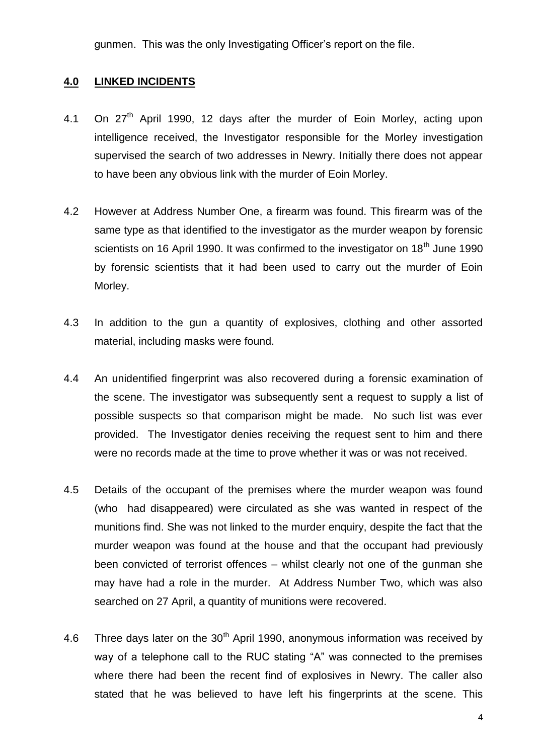gunmen. This was the only Investigating Officer's report on the file.

## **4.0 LINKED INCIDENTS**

- 4.1 On  $27<sup>th</sup>$  April 1990, 12 days after the murder of Eoin Morley, acting upon intelligence received, the Investigator responsible for the Morley investigation supervised the search of two addresses in Newry. Initially there does not appear to have been any obvious link with the murder of Eoin Morley.
- 4.2 However at Address Number One, a firearm was found. This firearm was of the same type as that identified to the investigator as the murder weapon by forensic scientists on 16 April 1990. It was confirmed to the investigator on 18<sup>th</sup> June 1990 by forensic scientists that it had been used to carry out the murder of Eoin Morley.
- 4.3 In addition to the gun a quantity of explosives, clothing and other assorted material, including masks were found.
- 4.4 An unidentified fingerprint was also recovered during a forensic examination of the scene. The investigator was subsequently sent a request to supply a list of possible suspects so that comparison might be made. No such list was ever provided. The Investigator denies receiving the request sent to him and there were no records made at the time to prove whether it was or was not received.
- 4.5 Details of the occupant of the premises where the murder weapon was found (who had disappeared) were circulated as she was wanted in respect of the munitions find. She was not linked to the murder enquiry, despite the fact that the murder weapon was found at the house and that the occupant had previously been convicted of terrorist offences – whilst clearly not one of the gunman she may have had a role in the murder. At Address Number Two, which was also searched on 27 April, a quantity of munitions were recovered.
- 4.6 Three days later on the  $30<sup>th</sup>$  April 1990, anonymous information was received by way of a telephone call to the RUC stating "A" was connected to the premises where there had been the recent find of explosives in Newry. The caller also stated that he was believed to have left his fingerprints at the scene. This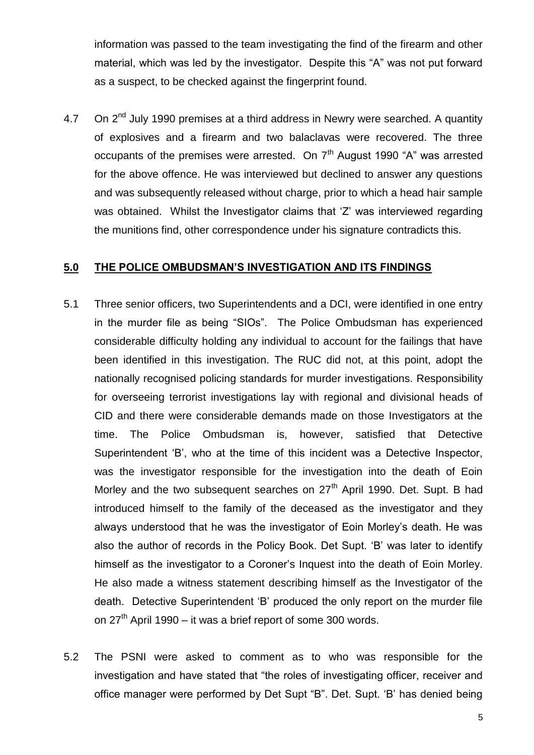information was passed to the team investigating the find of the firearm and other material, which was led by the investigator. Despite this "A" was not put forward as a suspect, to be checked against the fingerprint found.

4.7 On  $2<sup>nd</sup>$  July 1990 premises at a third address in Newry were searched. A quantity of explosives and a firearm and two balaclavas were recovered. The three occupants of the premises were arrested. On  $7<sup>th</sup>$  August 1990 "A" was arrested for the above offence. He was interviewed but declined to answer any questions and was subsequently released without charge, prior to which a head hair sample was obtained. Whilst the Investigator claims that 'Z' was interviewed regarding the munitions find, other correspondence under his signature contradicts this.

### **5.0 THE POLICE OMBUDSMAN'S INVESTIGATION AND ITS FINDINGS**

- 5.1 Three senior officers, two Superintendents and a DCI, were identified in one entry in the murder file as being "SIOs". The Police Ombudsman has experienced considerable difficulty holding any individual to account for the failings that have been identified in this investigation. The RUC did not, at this point, adopt the nationally recognised policing standards for murder investigations. Responsibility for overseeing terrorist investigations lay with regional and divisional heads of CID and there were considerable demands made on those Investigators at the time. The Police Ombudsman is, however, satisfied that Detective Superintendent 'B', who at the time of this incident was a Detective Inspector, was the investigator responsible for the investigation into the death of Eoin Morley and the two subsequent searches on  $27<sup>th</sup>$  April 1990. Det. Supt. B had introduced himself to the family of the deceased as the investigator and they always understood that he was the investigator of Eoin Morley's death. He was also the author of records in the Policy Book. Det Supt. 'B' was later to identify himself as the investigator to a Coroner's Inquest into the death of Eoin Morley. He also made a witness statement describing himself as the Investigator of the death. Detective Superintendent 'B' produced the only report on the murder file on  $27<sup>th</sup>$  April 1990 – it was a brief report of some 300 words.
- 5.2 The PSNI were asked to comment as to who was responsible for the investigation and have stated that "the roles of investigating officer, receiver and office manager were performed by Det Supt "B". Det. Supt. 'B' has denied being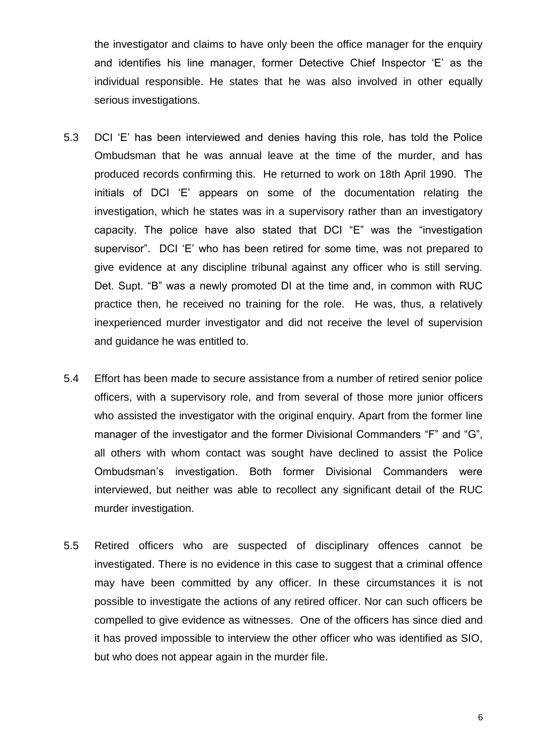the investigator and claims to have only been the office manager for the enquiry and identifies his line manager, former Detective Chief Inspector 'E' as the individual responsible. He states that he was also involved in other equally serious investigations.

- 5.3 DCI 'E' has been interviewed and denies having this role, has told the Police Ombudsman that he was annual leave at the time of the murder, and has produced records confirming this. He returned to work on 18th April 1990. The initials of DCI 'E' appears on some of the documentation relating the investigation, which he states was in a supervisory rather than an investigatory capacity. The police have also stated that DCI "E" was the "investigation supervisor". DCI 'E' who has been retired for some time, was not prepared to give evidence at any discipline tribunal against any officer who is still serving. Det. Supt. "B" was a newly promoted DI at the time and, in common with RUC practice then, he received no training for the role. He was, thus, a relatively inexperienced murder investigator and did not receive the level of supervision and guidance he was entitled to.
- 5.4 Effort has been made to secure assistance from a number of retired senior police officers, with a supervisory role, and from several of those more junior officers who assisted the investigator with the original enquiry. Apart from the former line manager of the investigator and the former Divisional Commanders "F" and "G", all others with whom contact was sought have declined to assist the Police Ombudsman's investigation. Both former Divisional Commanders were interviewed, but neither was able to recollect any significant detail of the RUC murder investigation.
- 5.5 Retired officers who are suspected of disciplinary offences cannot be investigated. There is no evidence in this case to suggest that a criminal offence may have been committed by any officer. In these circumstances it is not possible to investigate the actions of any retired officer. Nor can such officers be compelled to give evidence as witnesses. One of the officers has since died and it has proved impossible to interview the other officer who was identified as SIO, but who does not appear again in the murder file.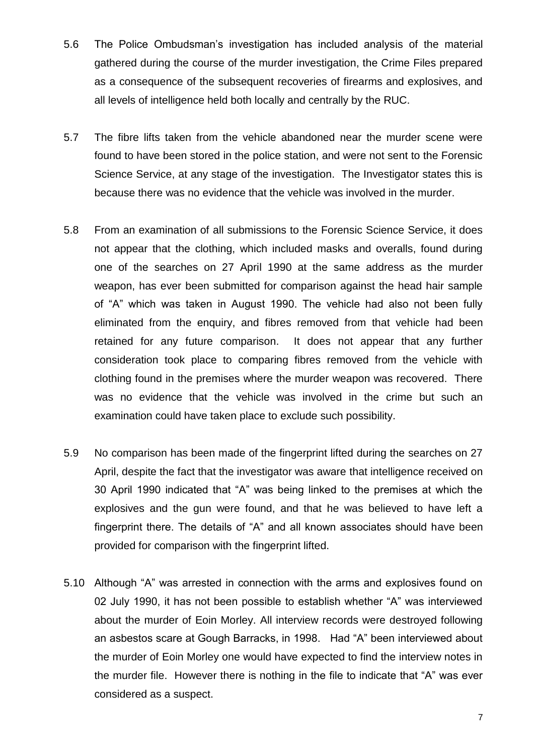- 5.6 The Police Ombudsman's investigation has included analysis of the material gathered during the course of the murder investigation, the Crime Files prepared as a consequence of the subsequent recoveries of firearms and explosives, and all levels of intelligence held both locally and centrally by the RUC.
- 5.7 The fibre lifts taken from the vehicle abandoned near the murder scene were found to have been stored in the police station, and were not sent to the Forensic Science Service, at any stage of the investigation. The Investigator states this is because there was no evidence that the vehicle was involved in the murder.
- 5.8 From an examination of all submissions to the Forensic Science Service, it does not appear that the clothing, which included masks and overalls, found during one of the searches on 27 April 1990 at the same address as the murder weapon, has ever been submitted for comparison against the head hair sample of "A" which was taken in August 1990. The vehicle had also not been fully eliminated from the enquiry, and fibres removed from that vehicle had been retained for any future comparison. It does not appear that any further consideration took place to comparing fibres removed from the vehicle with clothing found in the premises where the murder weapon was recovered. There was no evidence that the vehicle was involved in the crime but such an examination could have taken place to exclude such possibility.
- 5.9 No comparison has been made of the fingerprint lifted during the searches on 27 April, despite the fact that the investigator was aware that intelligence received on 30 April 1990 indicated that "A" was being linked to the premises at which the explosives and the gun were found, and that he was believed to have left a fingerprint there. The details of "A" and all known associates should have been provided for comparison with the fingerprint lifted.
- 5.10 Although "A" was arrested in connection with the arms and explosives found on 02 July 1990, it has not been possible to establish whether "A" was interviewed about the murder of Eoin Morley. All interview records were destroyed following an asbestos scare at Gough Barracks, in 1998. Had "A" been interviewed about the murder of Eoin Morley one would have expected to find the interview notes in the murder file. However there is nothing in the file to indicate that "A" was ever considered as a suspect.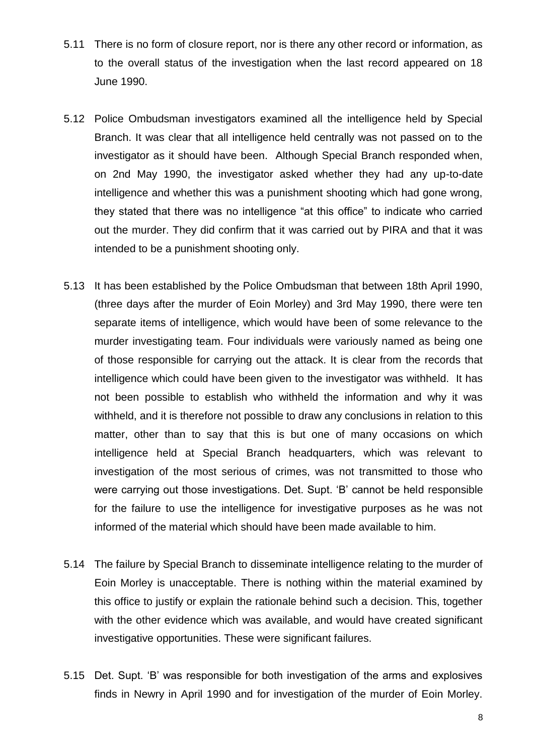- 5.11 There is no form of closure report, nor is there any other record or information, as to the overall status of the investigation when the last record appeared on 18 June 1990.
- 5.12 Police Ombudsman investigators examined all the intelligence held by Special Branch. It was clear that all intelligence held centrally was not passed on to the investigator as it should have been. Although Special Branch responded when, on 2nd May 1990, the investigator asked whether they had any up-to-date intelligence and whether this was a punishment shooting which had gone wrong, they stated that there was no intelligence "at this office" to indicate who carried out the murder. They did confirm that it was carried out by PIRA and that it was intended to be a punishment shooting only.
- 5.13 It has been established by the Police Ombudsman that between 18th April 1990, (three days after the murder of Eoin Morley) and 3rd May 1990, there were ten separate items of intelligence, which would have been of some relevance to the murder investigating team. Four individuals were variously named as being one of those responsible for carrying out the attack. It is clear from the records that intelligence which could have been given to the investigator was withheld. It has not been possible to establish who withheld the information and why it was withheld, and it is therefore not possible to draw any conclusions in relation to this matter, other than to say that this is but one of many occasions on which intelligence held at Special Branch headquarters, which was relevant to investigation of the most serious of crimes, was not transmitted to those who were carrying out those investigations. Det. Supt. 'B' cannot be held responsible for the failure to use the intelligence for investigative purposes as he was not informed of the material which should have been made available to him.
- 5.14 The failure by Special Branch to disseminate intelligence relating to the murder of Eoin Morley is unacceptable. There is nothing within the material examined by this office to justify or explain the rationale behind such a decision. This, together with the other evidence which was available, and would have created significant investigative opportunities. These were significant failures.
- 5.15 Det. Supt. 'B' was responsible for both investigation of the arms and explosives finds in Newry in April 1990 and for investigation of the murder of Eoin Morley.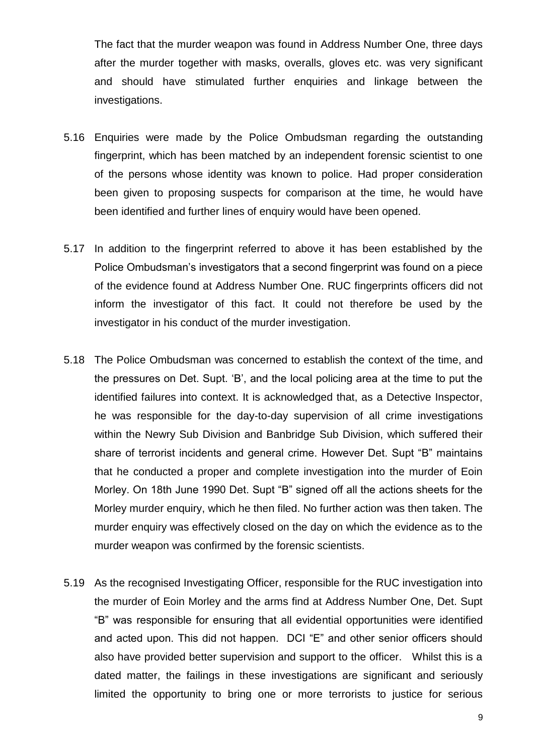The fact that the murder weapon was found in Address Number One, three days after the murder together with masks, overalls, gloves etc. was very significant and should have stimulated further enquiries and linkage between the investigations.

- 5.16 Enquiries were made by the Police Ombudsman regarding the outstanding fingerprint, which has been matched by an independent forensic scientist to one of the persons whose identity was known to police. Had proper consideration been given to proposing suspects for comparison at the time, he would have been identified and further lines of enquiry would have been opened.
- 5.17 In addition to the fingerprint referred to above it has been established by the Police Ombudsman's investigators that a second fingerprint was found on a piece of the evidence found at Address Number One. RUC fingerprints officers did not inform the investigator of this fact. It could not therefore be used by the investigator in his conduct of the murder investigation.
- 5.18 The Police Ombudsman was concerned to establish the context of the time, and the pressures on Det. Supt. 'B', and the local policing area at the time to put the identified failures into context. It is acknowledged that, as a Detective Inspector, he was responsible for the day-to-day supervision of all crime investigations within the Newry Sub Division and Banbridge Sub Division, which suffered their share of terrorist incidents and general crime. However Det. Supt "B" maintains that he conducted a proper and complete investigation into the murder of Eoin Morley. On 18th June 1990 Det. Supt "B" signed off all the actions sheets for the Morley murder enquiry, which he then filed. No further action was then taken. The murder enquiry was effectively closed on the day on which the evidence as to the murder weapon was confirmed by the forensic scientists.
- 5.19 As the recognised Investigating Officer, responsible for the RUC investigation into the murder of Eoin Morley and the arms find at Address Number One, Det. Supt "B" was responsible for ensuring that all evidential opportunities were identified and acted upon. This did not happen. DCI "E" and other senior officers should also have provided better supervision and support to the officer. Whilst this is a dated matter, the failings in these investigations are significant and seriously limited the opportunity to bring one or more terrorists to justice for serious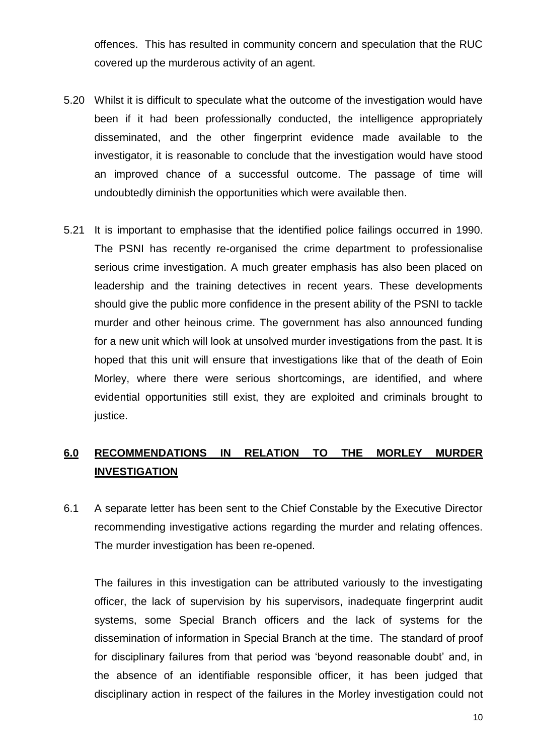offences. This has resulted in community concern and speculation that the RUC covered up the murderous activity of an agent.

- 5.20 Whilst it is difficult to speculate what the outcome of the investigation would have been if it had been professionally conducted, the intelligence appropriately disseminated, and the other fingerprint evidence made available to the investigator, it is reasonable to conclude that the investigation would have stood an improved chance of a successful outcome. The passage of time will undoubtedly diminish the opportunities which were available then.
- 5.21 It is important to emphasise that the identified police failings occurred in 1990. The PSNI has recently re-organised the crime department to professionalise serious crime investigation. A much greater emphasis has also been placed on leadership and the training detectives in recent years. These developments should give the public more confidence in the present ability of the PSNI to tackle murder and other heinous crime. The government has also announced funding for a new unit which will look at unsolved murder investigations from the past. It is hoped that this unit will ensure that investigations like that of the death of Eoin Morley, where there were serious shortcomings, are identified, and where evidential opportunities still exist, they are exploited and criminals brought to justice.

# **6.0 RECOMMENDATIONS IN RELATION TO THE MORLEY MURDER INVESTIGATION**

6.1 A separate letter has been sent to the Chief Constable by the Executive Director recommending investigative actions regarding the murder and relating offences. The murder investigation has been re-opened.

The failures in this investigation can be attributed variously to the investigating officer, the lack of supervision by his supervisors, inadequate fingerprint audit systems, some Special Branch officers and the lack of systems for the dissemination of information in Special Branch at the time. The standard of proof for disciplinary failures from that period was 'beyond reasonable doubt' and, in the absence of an identifiable responsible officer, it has been judged that disciplinary action in respect of the failures in the Morley investigation could not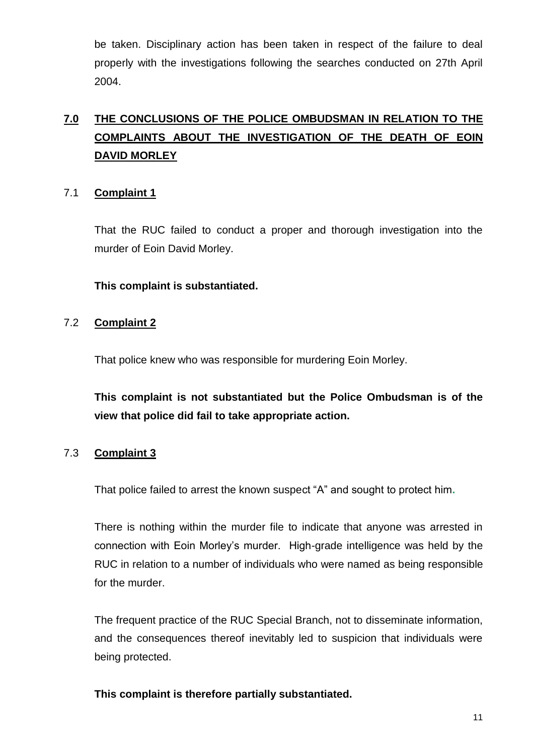be taken. Disciplinary action has been taken in respect of the failure to deal properly with the investigations following the searches conducted on 27th April 2004.

# **7.0 THE CONCLUSIONS OF THE POLICE OMBUDSMAN IN RELATION TO THE COMPLAINTS ABOUT THE INVESTIGATION OF THE DEATH OF EOIN DAVID MORLEY**

## 7.1 **Complaint 1**

That the RUC failed to conduct a proper and thorough investigation into the murder of Eoin David Morley.

## **This complaint is substantiated.**

## 7.2 **Complaint 2**

That police knew who was responsible for murdering Eoin Morley.

**This complaint is not substantiated but the Police Ombudsman is of the view that police did fail to take appropriate action.**

## 7.3 **Complaint 3**

That police failed to arrest the known suspect "A" and sought to protect him**.**

There is nothing within the murder file to indicate that anyone was arrested in connection with Eoin Morley's murder. High-grade intelligence was held by the RUC in relation to a number of individuals who were named as being responsible for the murder.

The frequent practice of the RUC Special Branch, not to disseminate information, and the consequences thereof inevitably led to suspicion that individuals were being protected.

### **This complaint is therefore partially substantiated.**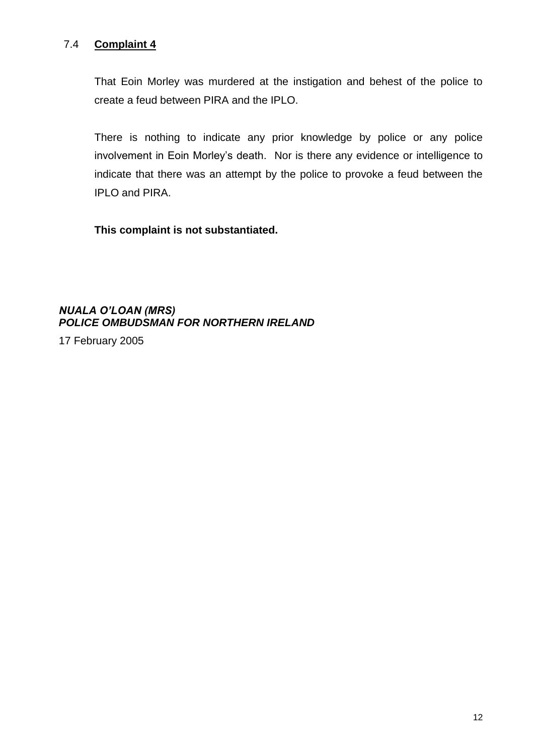## 7.4 **Complaint 4**

That Eoin Morley was murdered at the instigation and behest of the police to create a feud between PIRA and the IPLO.

There is nothing to indicate any prior knowledge by police or any police involvement in Eoin Morley's death. Nor is there any evidence or intelligence to indicate that there was an attempt by the police to provoke a feud between the IPLO and PIRA.

**This complaint is not substantiated.**

*NUALA O'LOAN (MRS) POLICE OMBUDSMAN FOR NORTHERN IRELAND*

17 February 2005